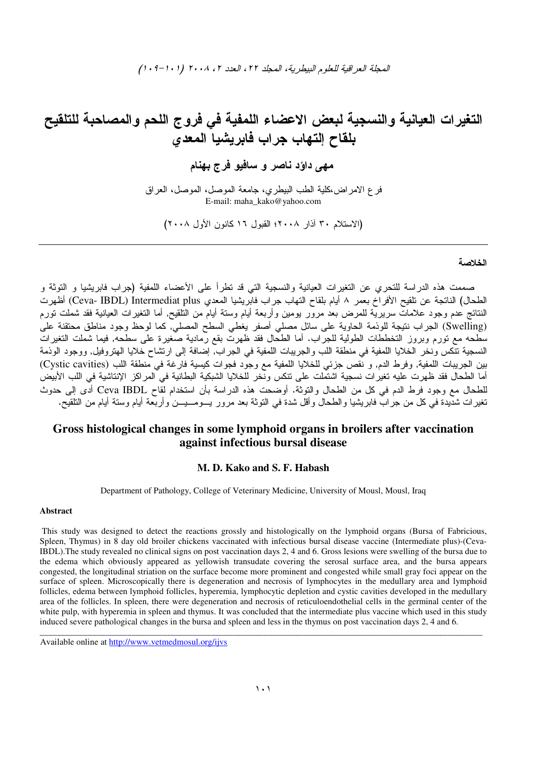التغيرات العيانية والنسجية لبعض الاعضاء اللمفية فى فروج اللحم والمصاحبة للتلقيح بِلقاح اِلتهاب جراب فابريشيا المعدى

مهي داؤد ناصر و سافيو فرج بهنام

فرع الامراض،كلية الطب البيطري، جامعة الموصل، الموصل، العراق E-mail: maha\_kako@yahoo.com

(الاستلام ٣٠ آذار ٢٠٠٨؛ القبول ١٦ كانون الأول ٢٠٠٨)

### الخلاصة

صممت هذه الدراسة للتحري عن التغيرات العيانية والنسجية التي قد تطرأ على الأعضاء اللمفية (جراب فابريشيا و التوثة و الطحال) الناتجة عن نلقيح الأفراخ بعمر ٨ أيام بلقاح التهاب جراب فابريشيا المعدى Ceva- IBDL) Intermediat plus) أظهرت النتائج عدم وجود علامات سريرية للمرض بعد مرور يومين وأربعة أيآم وستة أيام من التلقيح, أما التغيرات العيانية فقد شملت تورم (Swelling) الجراب نتيجة للوذمة الحاوية على سائل مصلي أصفر يغطي السطح المصليّ, كما لوحظ وجود مناطق محتقنة علىّ ر<br>سطحه مع تورم وبروز التخططات الطولية للجراب. أما الطحال فقد ظهرت بقع رمادية صغيرة على سطحه, فيما شملت التغيرات النسجية تتكس ونخر الخلايا اللمفية في منطقة اللب والجريبات اللمفية في الجراب, إضافة إلى ارتشاح حلايا الهتروفيل, ووجود الودمة بين الجريبات اللمفية, وفرط الدم, و نُقص جزئي للخلايا اللمفية مع وجود فجوات كيسية فارغة في منطقة اللب (Cystic cavities) .<br>أما الطحال فقد ظهرت عليه نغيرات نسجية اشتملت على نتكس ونخر للخلايا الشبكية البطانية في المراكز الإنتاشية في اللب الأبيض للطحال مع وجود فرط الدم في كل من الطحال والتوثة. أوضحت هذه الدراسة بأن استخدام لقاح Ceva IBDL أدى إلى حدوث تغير ات شديدة في كلٍّ من جرٍّ ابٍّ فابر يشيا والطحال و أقل شدة في التوثة بعد مرٍّ ور يسومسيسن و أربعة أيام وستة أيام من التلقيح.

# Gross histological changes in some lymphoid organs in broilers after vaccination against infectious bursal disease

### M. D. Kako and S. F. Habash

Department of Pathology, College of Veterinary Medicine, University of Mousl, Mousl, Iraq

### **Abstract**

This study was designed to detect the reactions grossly and histologically on the lymphoid organs (Bursa of Fabricious, Spleen, Thymus) in 8 day old broiler chickens vaccinated with infectious bursal disease vaccine (Intermediate plus)-(Ceva-IBDL). The study revealed no clinical signs on post vaccination days 2, 4 and 6. Gross lesions were swelling of the bursa due to the edema which obviously appeared as yellowish transudate covering the serosal surface area, and the bursa appears congested, the longitudinal striation on the surface become more prominent and congested while small gray foci appear on the surface of spleen. Microscopically there is degeneration and necrosis of lymphocytes in the medullary area and lymphoid follicles, edema between lymphoid follicles, hyperemia, lymphocytic depletion and cystic cavities developed in the medullary area of the follicles. In spleen, there were degeneration and necrosis of reticuloendothelial cells in the germinal center of the white pulp, with hyperemia in spleen and thymus. It was concluded that the intermediate plus vaccine which used in this study induced severe pathological changes in the bursa and spleen and less in the thymus on post vaccination days 2, 4 and 6.

Available online at http://www.vetmedmosul.org/ijvs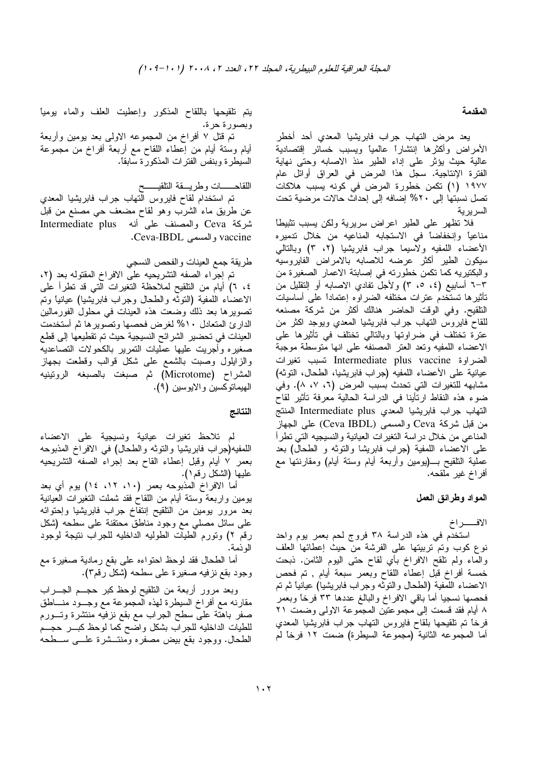### المقدمة

يعد مرض التهاب جراب فابريشيا المعدي أحد أخطر الأمراض وأكثرها إنتشارا عالميا ويسبب خسائر إقتصادية عالية حيث يؤثر على إداء الطير منذ الاصابه وحتى نهاية الفترة الإنتاجية. سجل هذا المرض في العراق أوائل عام ١٩٧٧ (١) تكمن خطورة المرض في كونه يسبب هلاكات تصل نسبتها إلى ٢٠% إضافه إلى إحداث حالات مرضية تحت السر ير ية

فلا نظهر على الطير اعراض سريرية ولكن يسبب نثبيطا مناعياً وإنخفاضاً في الاستجابه المناعيه من خلال ندميره الأعضاء اللمفيه ولاسيما جراب فابريشيا (٢، ٣) وبالتالي سيكون الطير أكثر عرضه للاصابه بالامراض الفايروسيه والبكتيريه كما نكمن خطورته في إصابتة الاعمار الصغيرة من ٦–٣ أسابيع (٤، ٥، ٣) ولأجل نفادي الاصابه أو النقليل من تأثيرها تستخدم عترات مختلفه الضراوه إعتمادا على أساسيات النلقيح. وفي الوقت الحاضر هنالك أكثر من شركة مصنعه للقاح فايروس النهاب جراب فابريشيا المعدي ويوجد اكثر من عترة تختلف في ضراوتها وبالتالي تختلف في تأثيرها على الاعضاء اللمفيه وتعد العتر المصنفه على انها متوسطة موجبة الضراوة Intermediate plus vaccine تسبب تغيرات عيانية على الأعضاء اللمفيه (جراب فابريشيا، الطحال، النوئه) مشابهه للتغيرات التي تحدث بسبب المرض (٦، ٧، ٨). وفي ضوء هذه النقاط ارتأينا في الدراسة الحالية معرفة تأثير لقاح النهاب جراب فابريشيا المعدى Intermediate plus المنتج من قبل شركة Ceva والمسمى (Ceva IBDL) على الجهاز المناعبي من خلال در اسة النغيرات العيانية والنسيجيه التبي نطرأ على الاعضاء اللمفية (جراب فابريشا والنوثه و الطحال) بعد عملية النلقيح بــــ(يومين وأربعة أيام وسنة أيام) ومقارنتها مع أفراخ غير ملقحه.

## المواد وطرائق العمل

الافـــــراخ

استخدم في هذه الدراسة ٣٨ فروج لحم بعمر يوم واحد نوع كوب وتم تربيتها على الفرشة من حيث إعطائها العلف والماء ولم نلقح الافراخ بأي لقاح حتى البوم الثامن. ذبحت خمسة أفراخ قبل إعطاء اللقاح وبعمر سبعة أيام , تم فحص الاعضاء اللمفية (الطحال والنوثه وجراب فابريشيا) عيانيا ثم نم فحصها نسجيا أما باقي الافراخ والبالغ عددها ٣٣ فرخا وبعمر ٨ أيام فقد قسمت إلى مجموعتين المجموعة الاولى وضمت ٢١ فرخاً تم تلقيحها بلقاح فايروس النهاب جراب فابريشيا المعدي أما المجموعه الثانية (مجموعة السيطرة) ضمت ١٢ فرخاً لم

يتم نلقيحها باللقاح المذكور وإعطيت العلف والماء بوميا وبصورة حرة.

تم قتل ٧ أفراخ من المجموعه الاولىي بعد بومين وأربعة أيام وستة أيام من إعطاء اللقاح مع أربعة أفراخ من مجموعة السيطرة وبنفس الفترات المذكورة سابقا.

# اللقاحــــــات وطريــــقة الناقيــــــح

تم استخدام لقاح فايروس النهاب جراب فابريشيا المعدي عن طريق ماء الشرب وهو لقاح مضعف حي مصنع من قبل شركة Ceva والمصنف على أنه Intermediate plus .Ceva-IBDL والمسمى vaccine

# طريقة جمع العينات والفحص النسجي

تم إجراء الصفه التشريحيه على الافراخ المقتوله بعد (٢، ٤، ٦) أيام من النلقيح لملاحظة النغيرات التي قد نطراً على الاعضاء اللمفية (النوثه والطحال وجراب فابريشيا) عيانياً ونم تصويرها بعد ذلك وضعت هذه العينات في محلول الفورمالين الدارئ المتعادل ١٠% لغرض فحصها وتصويرها ثم أستخدمت العينات في تحضير الشرائح النسيجية حيث تم تقطيعها إلى قطع صغيره وأجريت عليها عمليات النمرير بالكحولات النصاعديه والزايلول وصبت بالشمع علىي شكل قوالب وقطعت بجهاز المشراح (Microtome) ثم صبغت بالصبغه الرونينيه المهيماتوكسين والايوسين (٩).

### النتائج

لم تلاحظ تغيرات عيانية ونسيجية على الاعضاء اللمفيه(جراب فابريشيا والنوثه والطحال) في الافراخ المذبوحه بعمر ٧ أيام وقبل إعطاء القاح بعد إجراء الصفه النشريحيه عليها (الشكل رقم ١).

أما الافراخ المذبوحه بعمر (١٠، ١٢، ١٤) يوم أي بعد بومين واربعة وستة أبام من اللقاح فقد شملت النغيرات العيانية بعد مرور بومين من النلقيح إنتفاخ جراب فابريشيا وإحتوائه على سائل مصلي مع وجود مناطق محتقنة على سطحه (شكل رقم ٢) وتورم الطيات الطوليه الداخليه للجراب نتيجة لوجود الو ذمة.

أما الطحال فقد لوحظ احتواءه علىي بقع رمادية صغيرة مع وجود بقع نزفيه صغيرة على سطحه (شكل رقم٣).

وبعد مرور أربعة من النلقيح لوحظ كبر حجــم الـجــــراب مقارنه مع أفراخ السيطرة لهذه المجموعة مع وجــود منـــاطق صفر باهتة على سطح الجراب مع بقع نزفيه منتشرة وتسورم للطيات الداخليه للجراب بشكل واضح كما لوحظ كبس حجسم الطحال. ووجود بقع بيض مصفره ومنتـــشرة علــــي ســـطحه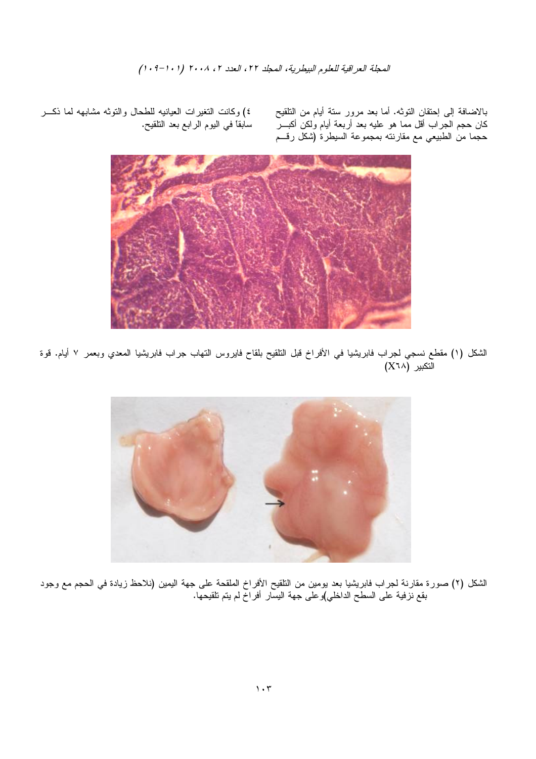المحلة العراقية للعلوم البيطرية، المحلد ٢٢، العدد ٢، ٢٠٠٨ (٠١-١٠٩)

بالاضافة إلى إحتقان النوثه. أما بعد مرور سنة أيام من النلقيح .<br>كان حجم الجراب أقل مما هو عليه بعد أربعة أيام ولكن أكبـــر حجما من الطبيعي مع مقارنته بمجموعة السيطرة (شكل رقسم

٤) وكانت النغيرات العيانيه للطحال والنوثه مشابهه لما ذكـــر سابقاً في اليوم الرابع بعد النلقيح.



الشكل (١) مقطع نسجي لجراب فابريشيا في الأفراخ قبل التلقيح بلقاح فايروس النهاب جراب فابريشيا المعدي وبعمر ٧ أيام. قوة التكبير (X٦٨)



الشكل (٢) صورة مقارنة لجراب فابريشيا بعد يومين من النلقيح الأفراخ الملقحة على جهة اليمين (نلاحظ زيادة في الحجم مع وجود بقع نزفية على السطّح الداخلي)و على جهة اليسار ۖ أفرَّاخ لم يتم تلقيحها.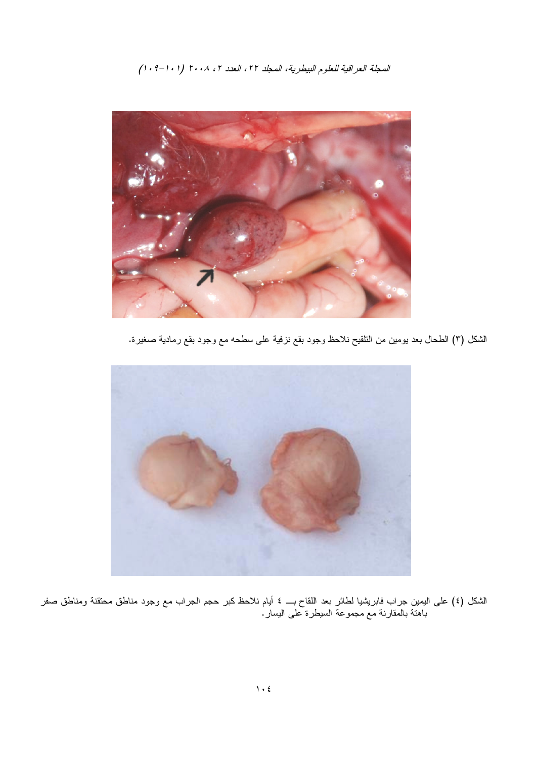المحلة العراقية للعلوم البيطرية، المحلد ٢٢، العدد ٢، ٢٠٠٨ (٠١-٠٩)



الشكل (٣) الطحال بعد بومين من النلقيح نلاحظ وجود بقع نزفية على سطحه مع وجود بقع رمادية صغيرة.



الشكل (٤) على اليمين جراب فابريشيا لطائر بعد اللقاح بـــ ٤ أيام نلاحظ كبر حجم الجراب مع وجود مناطق محتقنة ومناطق صفر<br>باهنة بالمقارنة مع مجموعة السيطرة على اليسار.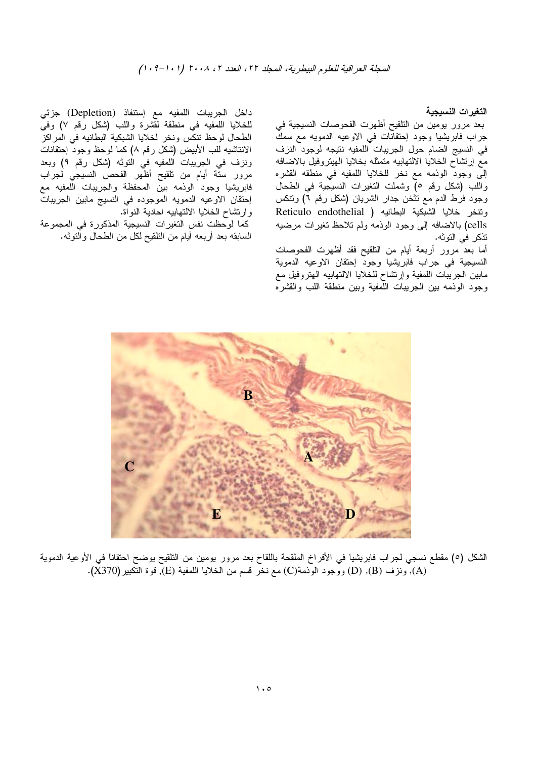التغيرات النسيجية

بعد مرور يومين من النلقيح أظهرت الفحوصات النسيجية في جراب فابريشيا وجود إحتقانات في الاوعيه الدمويه مع سمك في النسيج الضام حول الجريبات اللمفيه نتيجه لوجود النزف مع إرتشاح الخلايا الالتهابيه منمثله بخلايا الهينروفيل بالاضافه إلى وجود الوذمه مع نخر للخلايا اللمفيه في منطقه القشره واللب (شكل رقم ٥) وشملت النغيرات النسيجية في الطحال وجود فرط الدم مع نتخن جدار الشريان (شكل رقم ٦) ونتكس ونتخر خلايا الشبكية البطانيه ( Reticulo endothelial cells) بالاضافه إلى وجود الوذمه ولم تلاحظ تغيرات مرضيه تذكر في التوثه.

أما بعد مرور أربعة أيام من النلقيح فقد أظهرت الفحوصات النسيجية في جراب فابريشيا وجود إحتقان الاوعيه الدموية مابين الجريبات اللمفية وإرنشاح للخلايا الالتهابيه الهتروفيل مع وجود الوذمه ببين الجريبات اللمفية وببين منطقة اللب والقشره

داخل الجريبات اللمفيه مع إستنفاذ (Depletion) جزئي للخلايا اللمفيه في منطقة لقشرة واللب (شكل رقم ٧) وفي الطحال لوحظ نتكس ونخر لخلايا الشبكية البطانيه في المراكز الانتاشيه للب الأبيض (شكل رقم ٨) كما لوحظ وجود إحتقانات ونزف في الجريبات اللمفيه في التوثه (شكل رقم ٩) وبعد مرور سنَّة أيام من نلقيح أظهر الفحص النسيجي لجراب فابريشيا وجود الوذمه بين المحفظة والجريبات اللمفيه مع إحتقان الاوعيه الدمويه الموجوده في النسيج مابين الجريبات وارتشاح الخلايا الالتهابيه احادية النواة.

كما لوحظت نفس التغيرات النسيجية المذكورة في المجموعة السابقه بعد أربعه أيام من النلقيح لكل من الطحال والنوثه.



الشكل (٥) مقطع نسجى لجراب فابريشيا في الأفراخ الملقحة باللقاح بعد مرور بومين من التلقيح بوضح احتقانا في الأوعية الدموية (A), ونزف (B), (D) ووجود الوذمة(C) مع نخر قسم من الخلايا اللمفية (E), قوة التكبير(X370).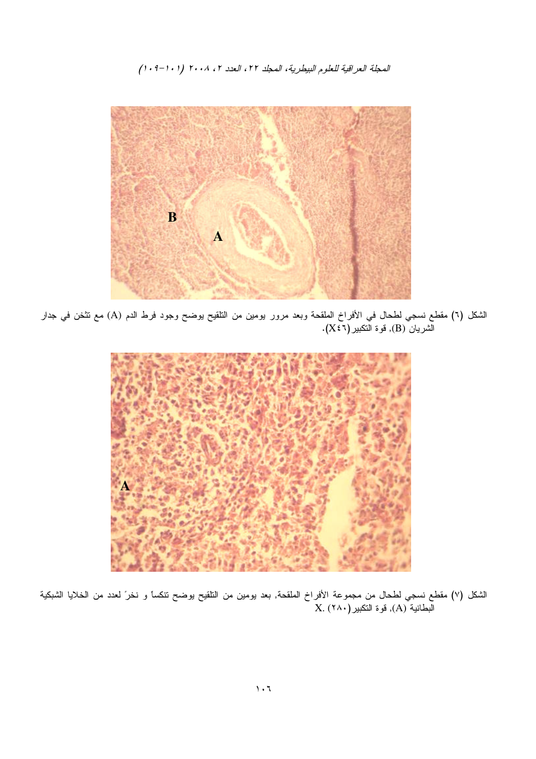المحلة العراقية للعلوم البيطرية، المحلد ٢٢، العدد ٢، ٢٠٠٨ (٠١-٠٩)



الشكل (٦) مقطع نسجي لطحال في الأفراخ الملقحة وبعد مرور يومين من التلقيح يوضح وجود فرط الدم (A) مع نتثخن في جدار لشريان (B), فوة النكبير(X٤٦).



الشكل (٧) مقطع نسجي لطحال من مجموعة الأفراخ الملقحة, بعد يومين من النلقيح يوضح نتكساً و نخرَ لعدد من الخلايا الشبكية<br>البطانية (A), فوة النكبير(٢٨٠) X. (٢٨٠)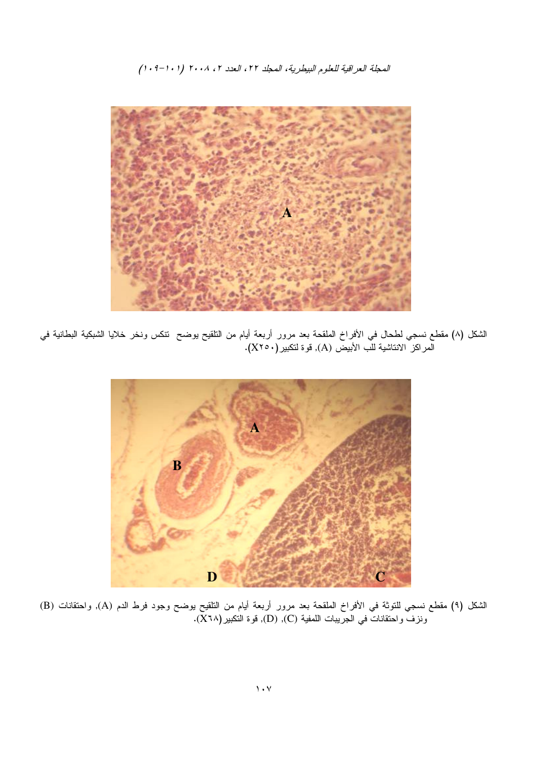المحلة العراقية للعلوم البيطرية، المحلد ٢٢، العدد ٢، ٢٠٠٨ (٠١-١٠٩)



الشكل (٨) مقطع نسجي لطحال في الأفراخ الملقحة بعد مرور أربعة أيام من النلقيح يوضح ننكس ونخر خلايا الشبكية البطانية في<br>المراكز الانتاشية للب الأبيض (A), قوة لنكبير(X٢٥٠).



الشكل (٩) مقطع نسجي للنوثة في الأفراخ الملقحة بعد مرور أربعة أيام من النلقيح يوضح وجود فرط الدم (A), واحتقانات (B) ونزفٌ واحتقاناتٌ في الجرِّيبات اللمفية (C), (D), قوة النكبير(X٦٨).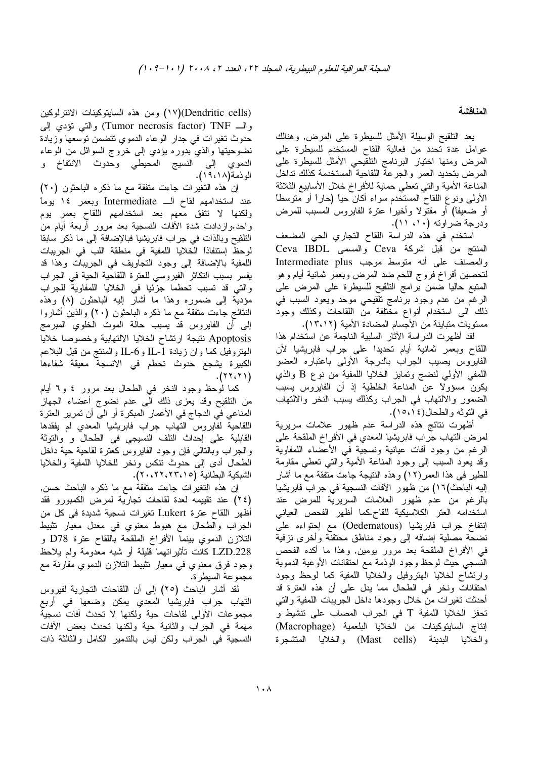### المناقشة

يعد التلقيح الوسيلة الأمثل للسيطرة على المرض, وهنالك عوامل عدة تحدد من فعالية اللقاح المستخدم للسيطرة على المرض ومنها اختيار البرنامج النلقيحي الأمثل للسيطرة على المرض بتحديد العمر والجرعة اللقاحية المستخدمة كذلك نداخل المناعة الأمية والتي نعطي حماية للأفراخ خلال الأسابيع الثلاثة الأولىي ونوع اللقاح المستخدم سواء أكان حيأ (حاراً أو منوسطاً أو ضعيفًا) أو مقتولا وأخيرا عترة الفايروس المسبب للمرض ودرجة ضراوته (١٠، ١١).

استخدم في هذه الدراسة اللقاح التجاري الحي المضعف العنتج من قبل شركة Ceva والمسمى Ceva IBDL والمصنف على أنه متوسط موجب Intermediate plus لتحصين أفراخ فروج اللحم ضد المرض وبعمر ثمانية أيام وهو المنبع حاليا ضمن برامج النلقيح للسيطرة على المرض على الرغم من عدم وجود برنامج تلقيحي موحد ويعود السبب في ذلك الى استخدام أنواع مختلفة من اللقاحات وكذلك وجود مستويات متباينة من الأجسام المضادة الأمية (١٣،١٢).

لقد أظهرت الدراسة الأثار السلبية الناجمة عن استخدام هذا اللقاح وبعمر ثمانية أيام تحديدا على جراب فابريشيا لأن الفايروس بصيب الجراب بالدرجة الأولى باعتباره العضو اللمفي الأولىي لنضج وتمايز الخلايا اللمفية من نوع B والذي يكون مسؤولاً عن المناعة الخلطية إذ أن الفايروس يسبب الضمور والالتهاب في الجراب وكذلك يسبب النخر والالتهاب في النوثه والطحال(١٥،١٥).

أظهرت نتائج هذه الدراسة عدم ظهور علامات سربرية لمرض التهاب جراب فابريشيا المعدي في الأفراخ الملقحة على الرغم من وجود أفات عيانية ونسجية في الأعضاء اللمفاوية وقد يعود السبب إلى وجود المناعة الأمية والنتي نعطي مقاومة للطير في هذا العمر(١٢) وهذه النتيجة جاءت متفقة مع ما أشار إليه الباحث)١٦) من ظهور الأفات النسجية في جراب فابريشيا بالرغم من عدم ظهور العلامات السريرية للمرض عند استخدامه العتر الكلاسيكية للقاح.كما أظهر الفحص العياني إنتفاخ جراب فابريشيا (Oedematous) مع إحتواءه على نضحة مصلية إضافه إلى وجود مناطق محتقنة وأخرى نزفية في الأفراخ الملقحة بعد مرور بومين, وهذا ما أكده الفحص النسجى حيث لوحظ وجود الوذمة مع احتقانات الأوعية الدموية وارتشاح لخلايا الهتروفيل والخلايا اللمفية كما لوحظ وجود احتقانات ونخر في الطحال مما يدل على أن هذه العترة قد أحدثت نغيرات من خلال وجودها داخل الجريبات اللمفية والتي نَحفز الخلايا اللَّمفية T في الجراب المصاب على نتشيط و إنتاج السايتوكينات من الخلايا البلعمية (Macrophage) والخلايا البدينة (Mast cells) والخلايا المتشجرة

(Dendritic cells)(١٧) ومن هذه السابنوكينات الانترلوكين والسـ Tumor necrosis factor) TNF) والنبي نؤدي إلىي حدوث تغيرات في جدار الوعاء الدموي تتضمن نوسعها وزيادة نضوحيتها والذي بدوره يؤدي إلى خروج السوائل من الوعاء الدموي إلى النسيج المحيطي وحدوث الانتفاخ و الونمة(١٩،١٨).

إن هذه النغيرات جاءت متفقة مع ما ذكره الباحثون (٢٠) عند استخدامهم لقاح الــ Intermediate وبعمر ١٤ يوماً ولكنها لا نتفق معهم بعد استخدامهم اللقاح بعمر بوم واحد.وازدادت شدة الأفات النسجية بعد مرور أربعة أيام من الْتَلْقَيْحِ وَبِالْذَاتَ فَمِي جَرَابَ فَابْرِيْشِيَا فَبَالْإِضَافَةِ إِلَى مَا ذَكَرٍ سَابَقَا لوحظ إستنفاذاً الخلايا اللمفية في منطقة اللب في الجريبات اللمفية بالإضافة إلى وجود التجاويف في الجريبات وهذا قد يفسر بسبب النكاش الفيروسي للعنرة اللقاحية الحية في الجراب والتي قد تسبب تحطما جزئيا في الخلايا اللمفاوية للجراب مؤدية إلى ضموره وهذا ما أشار إليه الباحثون (٨) وهذه النتائج جاءت منفقة مع ما ذكره الباحثون (٢٠) والذين أشاروا إلى أن الفايروس قد يسبب حالة الموت الخلوي المبرمج Apoptosis نتيجة ارتشاح الخلايا الالتهابية وخصوصا خلايا المهتروفيل كما وان زيادة IL-1 وIL-6 والممنتج من قبل البلاعم الكبيرة يشجع حدوث تحطم في الانسجة معيقة شفاءها  $(17,17)$ .

كما لوحظ وجود النخر في الطحال بعد مرور ٤ و٦ أيام من التلقيح وقد يعزى ذلك الى عدم نضوج أعضاء الجهاز المناعي في الدجاج في الأعمار المبكرة أو الى أن تمرير العترة اللقاحية لفايروس النهاب جراب فابريشيا المعدي لم يفقدها القابلية على إحداث النلف النسيجي في الطحال و والنوثة والجراب وبالنالى فإن وجود الفايروس كعنرة لقاحية حية داخل الطحال أدى إلى حدوث نتكس ونخر للخلايا اللمفية والخلايا الشبكية البطانية (٢٢،٢٢،٢٢٠،٢٠).

إن هذه النغيرات جاءت متفقة مع ما ذكره الباحث حسن, (٢٤) عند نقييمه لعدة لقاحات نجارية لمرض الكمبورو فقد أظهر اللقاح عترة Lukert تغيرات نسجية شديدة في كل من الجراب والطحال مع هبوط معنوي في معدل معيار نتثبيط التلازن الدموي بينما الأفراخ الملقحة باللقاح عترة D78 و LZD.228 كانت تأثيراتهما قليلة أو شبه معدومة ولم يلاحظ وجود فرق معنوي في معيار نثبيط النلازن الدموي مقارنة مع مجموعة السيطرة.

لقد أشار الباحث (٢٥) إلى أن اللقاحات النجارية لفيروس التهاب جراب فابريشيا المعدي يمكن وضعها في أربع مجموعات الأولىي لقاحات حية ولكنها لا تحدث افات نسجية مهمة في الجراب والثانية حية ولكنها تحدث بعض الأفات النسجية في الجراب ولكن ليس بالندمير الكامل والثالثة ذات